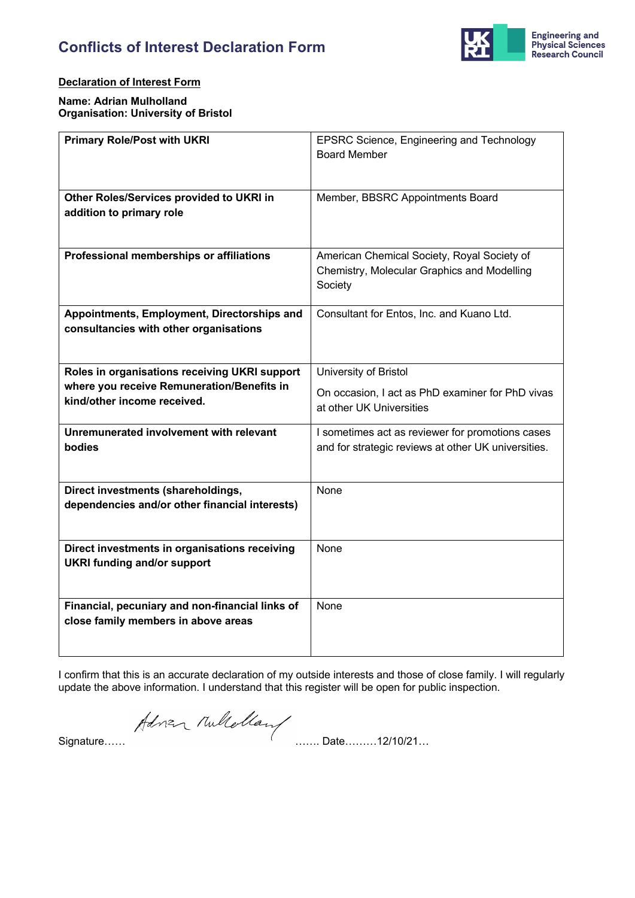

### **Declaration of Interest Form**

**Name: Adrian Mulholland Organisation: University of Bristol**

| <b>Primary Role/Post with UKRI</b>              | EPSRC Science, Engineering and Technology           |
|-------------------------------------------------|-----------------------------------------------------|
|                                                 | <b>Board Member</b>                                 |
|                                                 |                                                     |
|                                                 |                                                     |
| Other Roles/Services provided to UKRI in        | Member, BBSRC Appointments Board                    |
| addition to primary role                        |                                                     |
|                                                 |                                                     |
|                                                 |                                                     |
| Professional memberships or affiliations        | American Chemical Society, Royal Society of         |
|                                                 | Chemistry, Molecular Graphics and Modelling         |
|                                                 | Society                                             |
| Appointments, Employment, Directorships and     | Consultant for Entos, Inc. and Kuano Ltd.           |
| consultancies with other organisations          |                                                     |
|                                                 |                                                     |
|                                                 |                                                     |
| Roles in organisations receiving UKRI support   | University of Bristol                               |
| where you receive Remuneration/Benefits in      | On occasion, I act as PhD examiner for PhD vivas    |
| kind/other income received.                     | at other UK Universities                            |
|                                                 |                                                     |
| Unremunerated involvement with relevant         | I sometimes act as reviewer for promotions cases    |
| bodies                                          | and for strategic reviews at other UK universities. |
|                                                 |                                                     |
| Direct investments (shareholdings,              | None                                                |
| dependencies and/or other financial interests)  |                                                     |
|                                                 |                                                     |
|                                                 |                                                     |
| Direct investments in organisations receiving   | None                                                |
| <b>UKRI funding and/or support</b>              |                                                     |
|                                                 |                                                     |
|                                                 |                                                     |
| Financial, pecuniary and non-financial links of | None                                                |
| close family members in above areas             |                                                     |
|                                                 |                                                     |

I confirm that this is an accurate declaration of my outside interests and those of close family. I will regularly update the above information. I understand that this register will be open for public inspection.

Adren Mullellan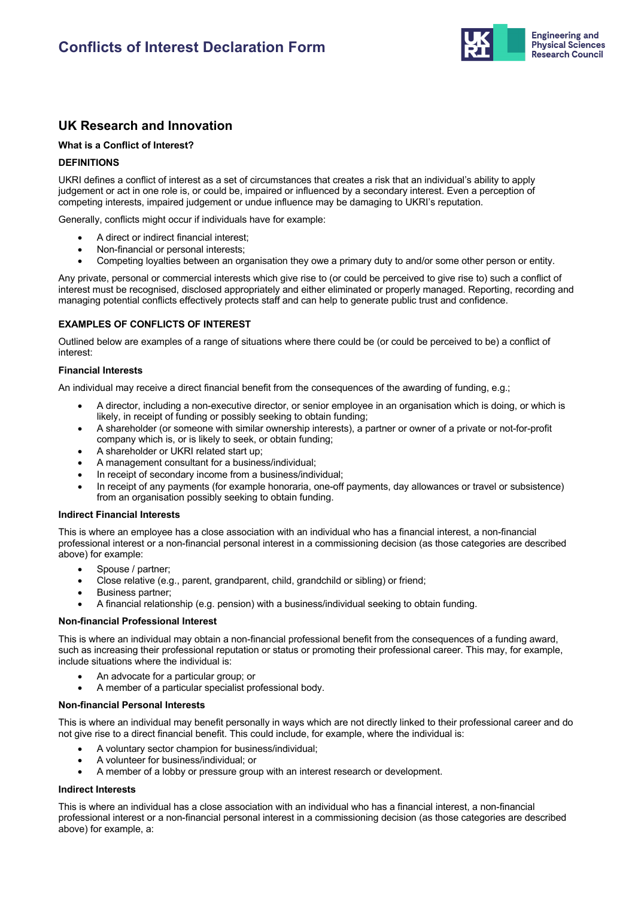

## **UK Research and Innovation**

#### **What is a Conflict of Interest?**

#### **DEFINITIONS**

UKRI defines a conflict of interest as a set of circumstances that creates a risk that an individual's ability to apply judgement or act in one role is, or could be, impaired or influenced by a secondary interest. Even a perception of competing interests, impaired judgement or undue influence may be damaging to UKRI's reputation.

Generally, conflicts might occur if individuals have for example:

- A direct or indirect financial interest;
- Non-financial or personal interests;
- Competing loyalties between an organisation they owe a primary duty to and/or some other person or entity.

Any private, personal or commercial interests which give rise to (or could be perceived to give rise to) such a conflict of interest must be recognised, disclosed appropriately and either eliminated or properly managed. Reporting, recording and managing potential conflicts effectively protects staff and can help to generate public trust and confidence.

#### **EXAMPLES OF CONFLICTS OF INTEREST**

Outlined below are examples of a range of situations where there could be (or could be perceived to be) a conflict of interest:

#### **Financial Interests**

An individual may receive a direct financial benefit from the consequences of the awarding of funding, e.g.;

- A director, including a non-executive director, or senior employee in an organisation which is doing, or which is likely, in receipt of funding or possibly seeking to obtain funding;
- A shareholder (or someone with similar ownership interests), a partner or owner of a private or not-for-profit company which is, or is likely to seek, or obtain funding;
- A shareholder or UKRI related start up;
- A management consultant for a business/individual;
- In receipt of secondary income from a business/individual;
- In receipt of any payments (for example honoraria, one-off payments, day allowances or travel or subsistence) from an organisation possibly seeking to obtain funding.

#### **Indirect Financial Interests**

This is where an employee has a close association with an individual who has a financial interest, a non-financial professional interest or a non-financial personal interest in a commissioning decision (as those categories are described above) for example:

- Spouse / partner;
- Close relative (e.g., parent, grandparent, child, grandchild or sibling) or friend;
- Business partner;
- A financial relationship (e.g. pension) with a business/individual seeking to obtain funding.

#### **Non-financial Professional Interest**

This is where an individual may obtain a non-financial professional benefit from the consequences of a funding award, such as increasing their professional reputation or status or promoting their professional career. This may, for example, include situations where the individual is:

- An advocate for a particular group; or
- A member of a particular specialist professional body.

#### **Non-financial Personal Interests**

This is where an individual may benefit personally in ways which are not directly linked to their professional career and do not give rise to a direct financial benefit. This could include, for example, where the individual is:

- A voluntary sector champion for business/individual;
- A volunteer for business/individual; or
- A member of a lobby or pressure group with an interest research or development.

#### **Indirect Interests**

This is where an individual has a close association with an individual who has a financial interest, a non-financial professional interest or a non-financial personal interest in a commissioning decision (as those categories are described above) for example, a: